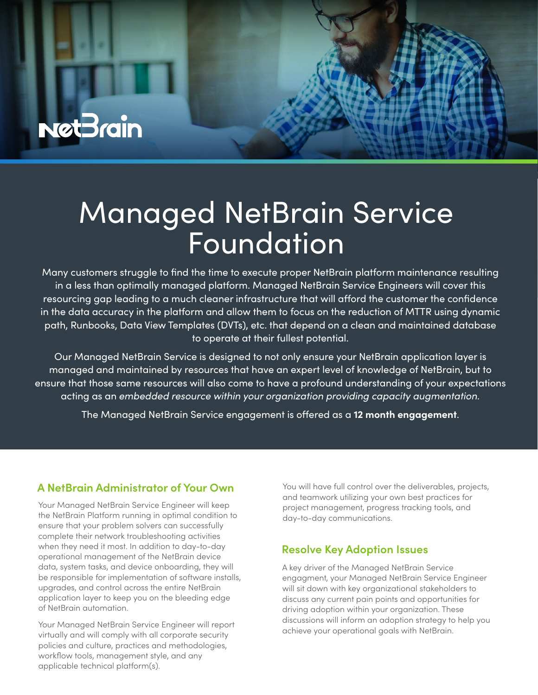

# Managed NetBrain Service Foundation

Many customers struggle to find the time to execute proper NetBrain platform maintenance resulting in a less than optimally managed platform. Managed NetBrain Service Engineers will cover this resourcing gap leading to a much cleaner infrastructure that will afford the customer the confidence in the data accuracy in the platform and allow them to focus on the reduction of MTTR using dynamic path, Runbooks, Data View Templates (DVTs), etc. that depend on a clean and maintained database to operate at their fullest potential.

Our Managed NetBrain Service is designed to not only ensure your NetBrain application layer is managed and maintained by resources that have an expert level of knowledge of NetBrain, but to ensure that those same resources will also come to have a profound understanding of your expectations acting as an *embedded resource within your organization providing capacity augmentation.*

The Managed NetBrain Service engagement is offered as a 12 month engagement.

### **A NetBrain Administrator of Your Own**

Your Managed NetBrain Service Engineer will keep the NetBrain Platform running in optimal condition to ensure that your problem solvers can successfully complete their network troubleshooting activities when they need it most. In addition to day-to-day operational management of the NetBrain device data, system tasks, and device onboarding, they will be responsible for implementation of software installs, upgrades, and control across the entire NetBrain application layer to keep you on the bleeding edge of NetBrain automation.

Your Managed NetBrain Service Engineer will report virtually and will comply with all corporate security policies and culture, practices and methodologies, workflow tools, management style, and any applicable technical platform(s).

You will have full control over the deliverables, projects, and teamwork utilizing your own best practices for project management, progress tracking tools, and day-to-day communications.

### **Resolve Key Adoption Issues**

A key driver of the Managed NetBrain Service engagment, your Managed NetBrain Service Engineer will sit down with key organizational stakeholders to discuss any current pain points and opportunities for driving adoption within your organization. These discussions will inform an adoption strategy to help you achieve your operational goals with NetBrain.